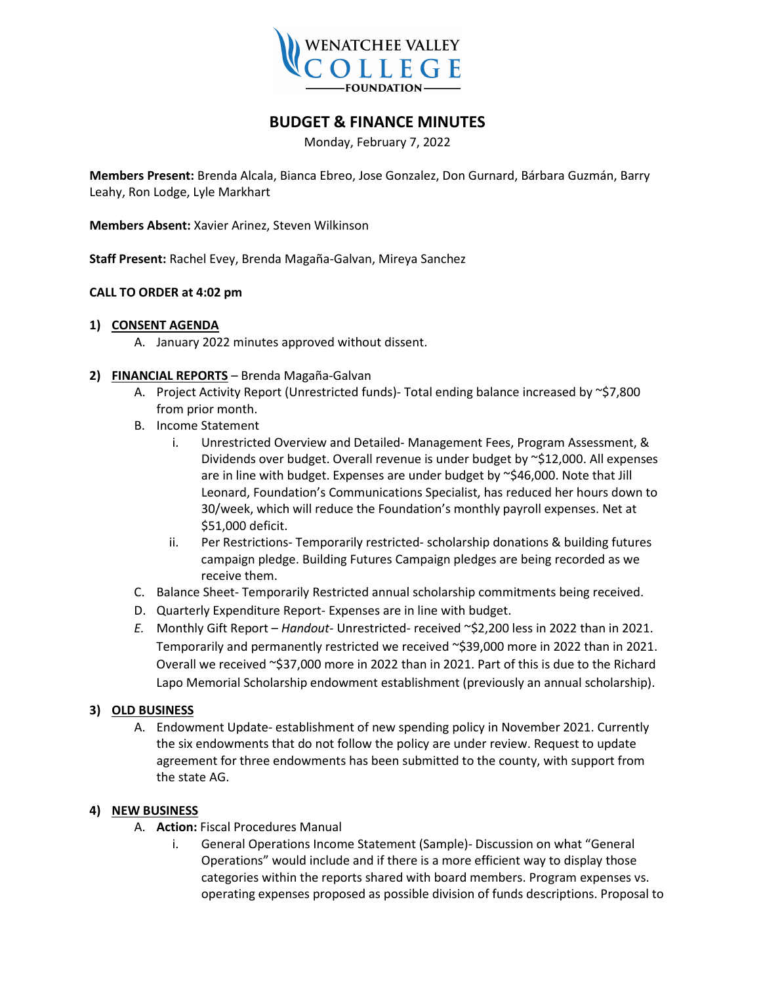

# **BUDGET & FINANCE MINUTES**

Monday, February 7, 2022

**Members Present:** Brenda Alcala, Bianca Ebreo, Jose Gonzalez, Don Gurnard, Bárbara Guzmán, Barry Leahy, Ron Lodge, Lyle Markhart

**Members Absent:** Xavier Arinez, Steven Wilkinson

**Staff Present:** Rachel Evey, Brenda Magaña-Galvan, Mireya Sanchez

#### **CALL TO ORDER at 4:02 pm**

#### **1) CONSENT AGENDA**

- A. January 2022 minutes approved without dissent.
- **2) FINANCIAL REPORTS** Brenda Magaña-Galvan
	- A. Project Activity Report (Unrestricted funds)- Total ending balance increased by ~\$7,800 from prior month.
	- B. Income Statement
		- i. Unrestricted Overview and Detailed- Management Fees, Program Assessment, & Dividends over budget. Overall revenue is under budget by ~\$12,000. All expenses are in line with budget. Expenses are under budget by ~\$46,000. Note that Jill Leonard, Foundation's Communications Specialist, has reduced her hours down to 30/week, which will reduce the Foundation's monthly payroll expenses. Net at \$51,000 deficit.
		- ii. Per Restrictions- Temporarily restricted- scholarship donations & building futures campaign pledge. Building Futures Campaign pledges are being recorded as we receive them.
	- C. Balance Sheet- Temporarily Restricted annual scholarship commitments being received.
	- D. Quarterly Expenditure Report- Expenses are in line with budget.
	- *E.* Monthly Gift Report *Handout-* Unrestricted- received ~\$2,200 less in 2022 than in 2021. Temporarily and permanently restricted we received ~\$39,000 more in 2022 than in 2021. Overall we received ~\$37,000 more in 2022 than in 2021. Part of this is due to the Richard Lapo Memorial Scholarship endowment establishment (previously an annual scholarship).

### **3) OLD BUSINESS**

A. Endowment Update- establishment of new spending policy in November 2021. Currently the six endowments that do not follow the policy are under review. Request to update agreement for three endowments has been submitted to the county, with support from the state AG.

#### **4) NEW BUSINESS**

- A. **Action:** Fiscal Procedures Manual
	- i. General Operations Income Statement (Sample)- Discussion on what "General Operations" would include and if there is a more efficient way to display those categories within the reports shared with board members. Program expenses vs. operating expenses proposed as possible division of funds descriptions. Proposal to